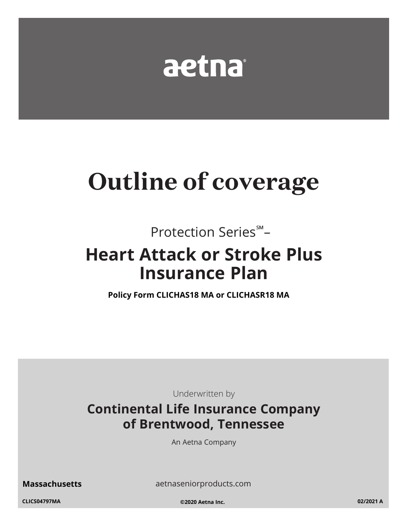

# **Outline of coverage**

Protection Series<sup>5M</sup>-

# **Heart Attack or Stroke Plus Insurance Plan**

Policy Form CLICHAS18 MA or CLICHASR18 MA

Underwritten by

# **Continental Life Insurance Company** of Brentwood, Tennessee

An Aetna Company

**Massachusetts** 

aetnaseniorproducts.com

CLICS04797MA

©2020 Aetna Inc.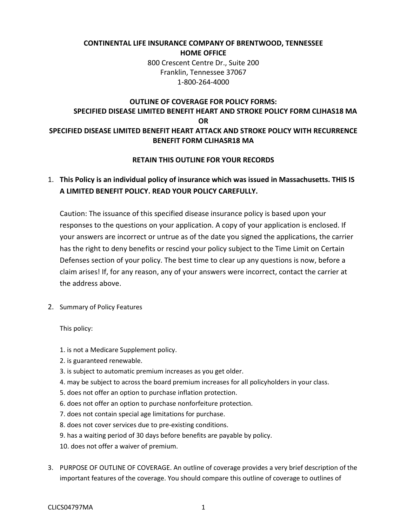# **CONTINENTAL LIFE INSURANCE COMPANY OF BRENTWOOD, TENNESSEE HOME OFFICE**

 800 Crescent Centre Dr., Suite 200 Franklin, Tennessee 37067 1-800-264-4000

# **OUTLINE OF COVERAGE FOR POLICY FORMS: SPECIFIED DISEASE LIMITED BENEFIT HEART AND STROKE POLICY FORM CLIHAS18 MA OR SPECIFIED DISEASE LIMITED BENEFIT HEART ATTACK AND STROKE POLICY WITH RECURRENCE BENEFIT FORM CLIHASR18 MA**

## **RETAIN THIS OUTLINE FOR YOUR RECORDS**

# **A LIMITED BENEFIT POLICY. READ YOUR POLICY CAREFULLY.**  1. **This Policy is an individual policy of insurance which was issued in Massachusetts. THIS IS**

 Caution: The issuance of this specified disease insurance policy is based upon your your answers are incorrect or untrue as of the date you signed the applications, the carrier Defenses section of your policy. The best time to clear up any questions is now, before a responses to the questions on your application. A copy of your application is enclosed. If has the right to deny benefits or rescind your policy subject to the Time Limit on Certain claim arises! If, for any reason, any of your answers were incorrect, contact the carrier at the address above.

2. Summary of Policy Features

This policy:

- 1. is not a Medicare Supplement policy.
- 2. is guaranteed renewable.
- 3. is subject to automatic premium increases as you get older.
- 4. may be subject to across the board premium increases for all policyholders in your class.
- 5. does not offer an option to purchase inflation protection.
- 6. does not offer an option to purchase nonforfeiture protection.
- 7. does not contain special age limitations for purchase.
- 8. does not cover services due to pre-existing conditions.
- 9. has a waiting period of 30 days before benefits are payable by policy.
- 10. does not offer a waiver of premium.
- 3. PURPOSE OF OUTLINE OF COVERAGE. An outline of coverage provides a very brief description of the important features of the coverage. You should compare this outline of coverage to outlines of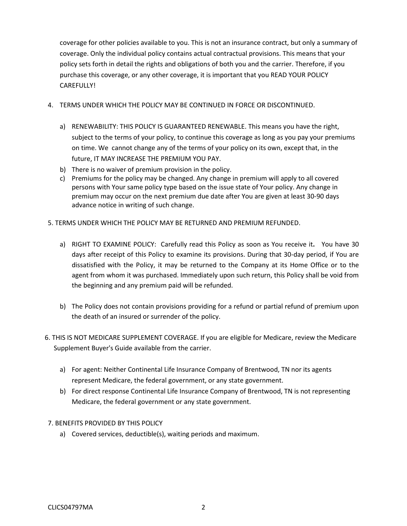coverage for other policies available to you. This is not an insurance contract, but only a summary of coverage. Only the individual policy contains actual contractual provisions. This means that your purchase this coverage, or any other coverage, it is important that you READ YOUR POLICY policy sets forth in detail the rights and obligations of both you and the carrier. Therefore, if you CAREFULLY!

- 4. TERMS UNDER WHICH THE POLICY MAY BE CONTINUED IN FORCE OR DISCONTINUED.
	- a) RENEWABILITY: THIS POLICY IS GUARANTEED RENEWABLE. This means you have the right, subject to the terms of your policy, to continue this coverage as long as you pay your premiums on time. We cannot change any of the terms of your policy on its own, except that, in the future, IT MAY INCREASE THE PREMIUM YOU PAY.
	- b) There is no waiver of premium provision in the policy.
	- c) Premiums for the policy may be changed. Any change in premium will apply to all covered persons with Your same policy type based on the issue state of Your policy. Any change in premium may occur on the next premium due date after You are given at least 30-90 days advance notice in writing of such change.
- 5. TERMS UNDER WHICH THE POLICY MAY BE RETURNED AND PREMIUM REFUNDED.
	- a) RIGHT TO EXAMINE POLICY: Carefully read this Policy as soon as You receive it**.** You have 30 days after receipt of this Policy to examine its provisions. During that 30-day period, if You are dissatisfied with the Policy, it may be returned to the Company at its Home Office or to the agent from whom it was purchased. Immediately upon such return, this Policy shall be void from the beginning and any premium paid will be refunded.
	- b) The Policy does not contain provisions providing for a refund or partial refund of premium upon the death of an insured or surrender of the policy.
- Supplement Buyer's Guide available from the carrier. 6. THIS IS NOT MEDICARE SUPPLEMENT COVERAGE. If you are eligible for Medicare, review the Medicare
	- a) For agent: Neither Continental Life Insurance Company of Brentwood, TN nor its agents represent Medicare, the federal government, or any state government.
	- b) For direct response Continental Life Insurance Company of Brentwood, TN is not representing Medicare, the federal government or any state government.
- 7. BENEFITS PROVIDED BY THIS POLICY
	- a) Covered services, deductible(s), waiting periods and maximum.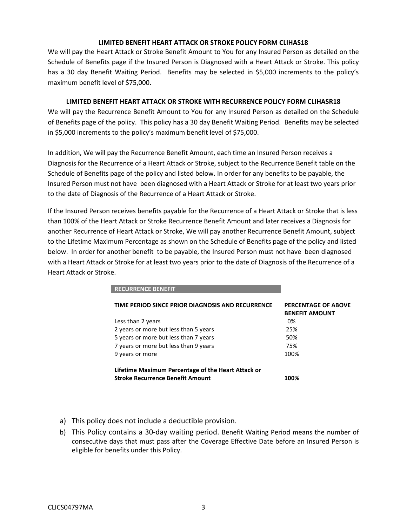#### **LIMITED BENEFIT HEART ATTACK OR STROKE POLICY FORM CLIHAS18**

 We will pay the Heart Attack or Stroke Benefit Amount to You for any Insured Person as detailed on the has a 30 day Benefit Waiting Period. Benefits may be selected in \$5,000 increments to the policy's maximum benefit level of \$75,000. Schedule of Benefits page if the Insured Person is Diagnosed with a Heart Attack or Stroke. This policy

#### **LIMITED BENEFIT HEART ATTACK OR STROKE WITH RECURRENCE POLICY FORM CLIHASR18**

 of Benefits page of the policy. This policy has a 30 day Benefit Waiting Period. Benefits may be selected in \$5,000 increments to the policy's maximum benefit level of \$75,000. We will pay the Recurrence Benefit Amount to You for any Insured Person as detailed on the Schedule

 Diagnosis for the Recurrence of a Heart Attack or Stroke, subject to the Recurrence Benefit table on the Schedule of Benefits page of the policy and listed below. In order for any benefits to be payable, the Insured Person must not have been diagnosed with a Heart Attack or Stroke for at least two years prior to the date of Diagnosis of the Recurrence of a Heart Attack or Stroke. In addition, We will pay the Recurrence Benefit Amount, each time an Insured Person receives a

 to the Lifetime Maximum Percentage as shown on the Schedule of Benefits page of the policy and listed below. In order for another benefit to be payable, the Insured Person must not have been diagnosed with a Heart Attack or Stroke for at least two years prior to the date of Diagnosis of the Recurrence of a Heart Attack or Stroke. If the Insured Person receives benefits payable for the Recurrence of a Heart Attack or Stroke that is less than 100% of the Heart Attack or Stroke Recurrence Benefit Amount and later receives a Diagnosis for another Recurrence of Heart Attack or Stroke, We will pay another Recurrence Benefit Amount, subject

| TIME PERIOD SINCE PRIOR DIAGNOSIS AND RECURRENCE                                              | <b>PERCENTAGE OF ABOVE</b><br><b>BENEFIT AMOUNT</b> |
|-----------------------------------------------------------------------------------------------|-----------------------------------------------------|
| Less than 2 years                                                                             | በ%                                                  |
| 2 years or more but less than 5 years                                                         | 25%                                                 |
| 5 years or more but less than 7 years                                                         | 50%                                                 |
| 7 years or more but less than 9 years                                                         | 75%                                                 |
| 9 years or more                                                                               | 100%                                                |
| Lifetime Maximum Percentage of the Heart Attack or<br><b>Stroke Recurrence Benefit Amount</b> | 1በበ%                                                |

a) This policy does not include a deductible provision.

**RECURRENCE BENEFIT** 

b) This Policy contains a 30-day waiting period. Benefit Waiting Period means the number of consecutive days that must pass after the Coverage Effective Date before an Insured Person is eligible for benefits under this Policy.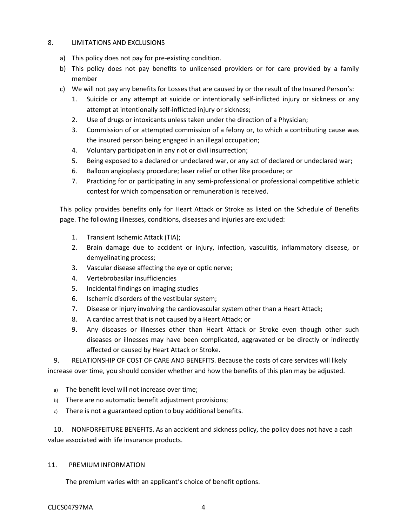## 8. LIMITATIONS AND EXCLUSIONS

- a) This policy does not pay for pre-existing condition.
- b) This policy does not pay benefits to unlicensed providers or for care provided by a family member
- c) We will not pay any benefits for Losses that are caused by or the result of the Insured Person's:
	- 1. Suicide or any attempt at suicide or intentionally self-inflicted injury or sickness or any attempt at intentionally self-inflicted injury or sickness;
	- 2. Use of drugs or intoxicants unless taken under the direction of a Physician;
	- 3. Commission of or attempted commission of a felony or, to which a contributing cause was the insured person being engaged in an illegal occupation;
	- 4. Voluntary participation in any riot or civil insurrection;
	- 5. Being exposed to a declared or undeclared war, or any act of declared or undeclared war;
	- 6. Balloon angioplasty procedure; laser relief or other like procedure; or
	- 7. Practicing for or participating in any semi-professional or professional competitive athletic contest for which compensation or remuneration is received.

 This policy provides benefits only for Heart Attack or Stroke as listed on the Schedule of Benefits page. The following illnesses, conditions, diseases and injuries are excluded:

- 1. Transient Ischemic Attack (TIA);
- 2. Brain damage due to accident or injury, infection, vasculitis, inflammatory disease, or demyelinating process;
- 3. Vascular disease affecting the eye or optic nerve;
- 4. Vertebrobasilar insufficiencies
- 5. Incidental findings on imaging studies
- 6. Ischemic disorders of the vestibular system;
- 7. Disease or injury involving the cardiovascular system other than a Heart Attack;
- 8. A cardiac arrest that is not caused by a Heart Attack; or
- diseases or illnesses may have been complicated, aggravated or be directly or indirectly 9. Any diseases or illnesses other than Heart Attack or Stroke even though other such affected or caused by Heart Attack or Stroke.

 9. RELATIONSHIP OF COST OF CARE AND BENEFITS. Because the costs of care services will likely increase over time, you should consider whether and how the benefits of this plan may be adjusted.

- a) The benefit level will not increase over time;
- b) There are no automatic benefit adjustment provisions;
- c) There is not a guaranteed option to buy additional benefits.

10. NONFORFEITURE BENEFITS. As an accident and sickness policy, the policy does not have a cash value associated with life insurance products.

## 11. PREMIUM INFORMATION

The premium varies with an applicant's choice of benefit options.